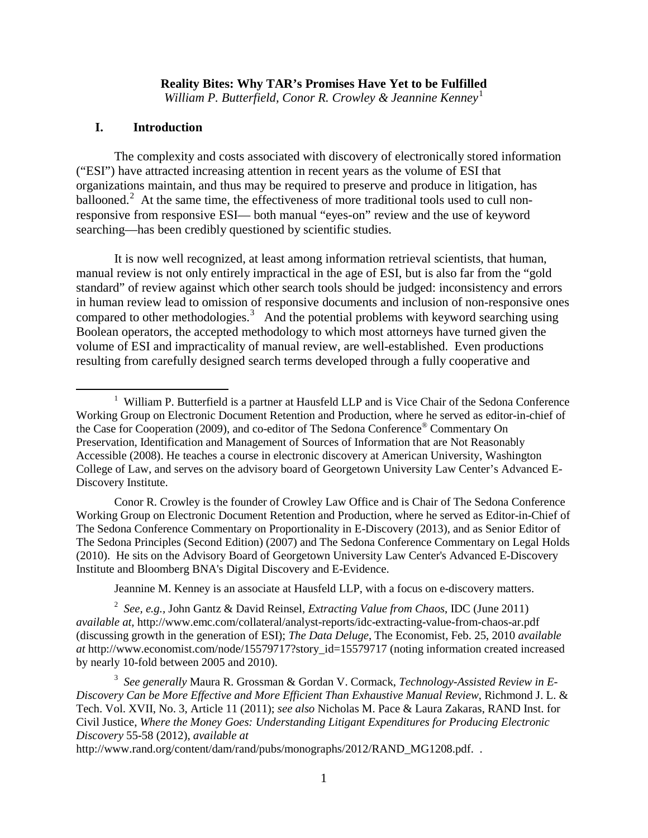### **Reality Bites: Why TAR's Promises Have Yet to be Fulfilled**

*William P. Butterfield, Conor R. Crowley & Jeannine Kenney*[1](#page-0-0)

## **I. Introduction**

The complexity and costs associated with discovery of electronically stored information ("ESI") have attracted increasing attention in recent years as the volume of ESI that organizations maintain, and thus may be required to preserve and produce in litigation, has ballooned.<sup>[2](#page-0-1)</sup> At the same time, the effectiveness of more traditional tools used to cull nonresponsive from responsive ESI— both manual "eyes-on" review and the use of keyword searching—has been credibly questioned by scientific studies.

It is now well recognized, at least among information retrieval scientists, that human, manual review is not only entirely impractical in the age of ESI, but is also far from the "gold standard" of review against which other search tools should be judged: inconsistency and errors in human review lead to omission of responsive documents and inclusion of non-responsive ones compared to other methodologies.<sup>[3](#page-0-2)</sup> And the potential problems with keyword searching using Boolean operators, the accepted methodology to which most attorneys have turned given the volume of ESI and impracticality of manual review, are well-established. Even productions resulting from carefully designed search terms developed through a fully cooperative and

Conor R. Crowley is the founder of Crowley Law Office and is Chair of The Sedona Conference Working Group on Electronic Document Retention and Production, where he served as Editor-in-Chief of The Sedona Conference Commentary on Proportionality in E-Discovery (2013), and as Senior Editor of The Sedona Principles (Second Edition) (2007) and The Sedona Conference Commentary on Legal Holds (2010). He sits on the Advisory Board of Georgetown University Law Center's Advanced E-Discovery Institute and Bloomberg BNA's Digital Discovery and E-Evidence.

Jeannine M. Kenney is an associate at Hausfeld LLP, with a focus on e-discovery matters.

<span id="page-0-1"></span>2 *See, e.g.,* John Gantz & David Reinsel, *Extracting Value from Chaos*, IDC (June 2011) *available at,* http://www.emc.com/collateral/analyst-reports/idc-extracting-value-from-chaos-ar.pdf (discussing growth in the generation of ESI); *The Data Deluge*, The Economist, Feb. 25, 2010 *available at* http://www.economist.com/node/15579717?story\_id=15579717 (noting information created increased by nearly 10-fold between 2005 and 2010).

<span id="page-0-2"></span>3 *See generally* Maura R. Grossman & Gordan V. Cormack, *Technology-Assisted Review in E-Discovery Can be More Effective and More Efficient Than Exhaustive Manual Review*, Richmond J. L. & Tech. Vol. XVII, No. 3, Article 11 (2011); *see also* Nicholas M. Pace & Laura Zakaras, RAND Inst. for Civil Justice, *Where the Money Goes: Understanding Litigant Expenditures for Producing Electronic Discovery* 55-58 (2012), *available at*

http://www.rand.org/content/dam/rand/pubs/monographs/2012/RAND\_MG1208.pdf. .

<span id="page-0-0"></span> $\overline{\phantom{a}}$ <sup>1</sup> William P. Butterfield is a partner at Hausfeld LLP and is Vice Chair of the Sedona Conference Working Group on Electronic Document Retention and Production, where he served as editor-in-chief of the Case for Cooperation (2009), and co-editor of The Sedona Conference® Commentary On Preservation, Identification and Management of Sources of Information that are Not Reasonably Accessible (2008). He teaches a course in electronic discovery at American University, Washington College of Law, and serves on the advisory board of Georgetown University Law Center's Advanced E-Discovery Institute.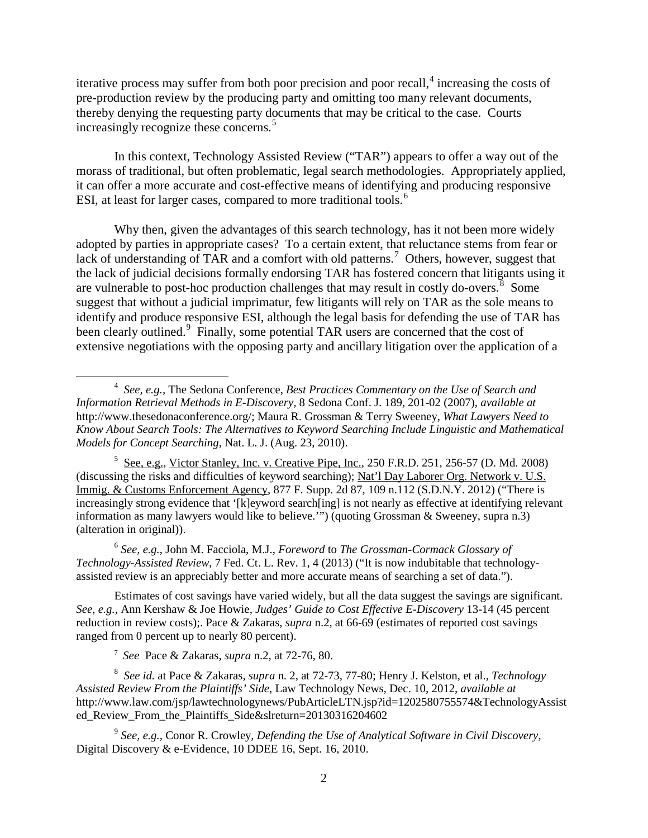iterative process may suffer from both poor precision and poor recall,<sup>[4](#page-1-0)</sup> increasing the costs of pre-production review by the producing party and omitting too many relevant documents, thereby denying the requesting party documents that may be critical to the case. Courts increasingly recognize these concerns. [5](#page-1-1)

In this context, Technology Assisted Review ("TAR") appears to offer a way out of the morass of traditional, but often problematic, legal search methodologies. Appropriately applied, it can offer a more accurate and cost-effective means of identifying and producing responsive ESI, at least for larger cases, compared to more traditional tools. $<sup>6</sup>$  $<sup>6</sup>$  $<sup>6</sup>$ </sup>

Why then, given the advantages of this search technology, has it not been more widely adopted by parties in appropriate cases? To a certain extent, that reluctance stems from fear or lack of understanding of TAR and a comfort with old patterns.<sup>[7](#page-1-3)</sup> Others, however, suggest that the lack of judicial decisions formally endorsing TAR has fostered concern that litigants using it are vulnerable to post-hoc production challenges that may result in costly do-overs.<sup>[8](#page-1-4)</sup> Some suggest that without a judicial imprimatur, few litigants will rely on TAR as the sole means to identify and produce responsive ESI, although the legal basis for defending the use of TAR has been clearly outlined.<sup>[9](#page-1-5)</sup> Finally, some potential TAR users are concerned that the cost of extensive negotiations with the opposing party and ancillary litigation over the application of a

<span id="page-1-2"></span><sup>6</sup> *See, e.g.*, John M. Facciola, M.J., *Foreword* to *The Grossman-Cormack Glossary of Technology-Assisted Review*, 7 Fed. Ct. L. Rev. 1, 4 (2013) ("It is now indubitable that technologyassisted review is an appreciably better and more accurate means of searching a set of data.").

Estimates of cost savings have varied widely, but all the data suggest the savings are significant. *See, e.g.,* Ann Kershaw & Joe Howie, *Judges' Guide to Cost Effective E-Discovery* 13-14 (45 percent reduction in review costs);. Pace & Zakaras, *supra* n.2, at 66-69 (estimates of reported cost savings ranged from 0 percent up to nearly 80 percent).

<span id="page-1-4"></span><span id="page-1-3"></span><sup>8</sup> *See id.* at Pace & Zakaras, *supra* n. 2, at 72-73, 77-80; Henry J. Kelston, et al., *Technology Assisted Review From the Plaintiffs' Side*, Law Technology News, Dec. 10, 2012, *available at* http://www.law.com/jsp/lawtechnologynews/PubArticleLTN.jsp?id=1202580755574&TechnologyAssist ed\_Review\_From\_the\_Plaintiffs\_Side&slreturn=20130316204602

<span id="page-1-5"></span><sup>9</sup> *See, e.g.,* Conor R. Crowley, *Defending the Use of Analytical Software in Civil Discovery*, Digital Discovery & e-Evidence, 10 DDEE 16, Sept. 16, 2010.

<span id="page-1-0"></span> $\overline{4}$  *See, e.g.,* The Sedona Conference, *Best Practices Commentary on the Use of Search and Information Retrieval Methods in E-Discovery,* 8 Sedona Conf. J. 189, 201-02 (2007), *available at* http://www.thesedonaconference.org/; Maura R. Grossman & Terry Sweeney, *What Lawyers Need to Know About Search Tools: The Alternatives to Keyword Searching Include Linguistic and Mathematical Models for Concept Searching*, Nat. L. J. (Aug. 23, 2010).

<span id="page-1-1"></span> $5$  See, e.g., Victor Stanley, Inc. v. Creative Pipe, Inc., 250 F.R.D. 251, 256-57 (D. Md. 2008) (discussing the risks and difficulties of keyword searching); Nat'l Day Laborer Org. Network v. U.S. Immig. & Customs Enforcement Agency, 877 F. Supp. 2d 87, 109 n.112 (S.D.N.Y. 2012) ("There is increasingly strong evidence that '[k]eyword search[ing] is not nearly as effective at identifying relevant information as many lawyers would like to believe.'") (quoting Grossman & Sweeney, supra n.3) (alteration in original)).

<sup>7</sup> *See* Pace & Zakaras*, supra* n.2, at 72-76, 80.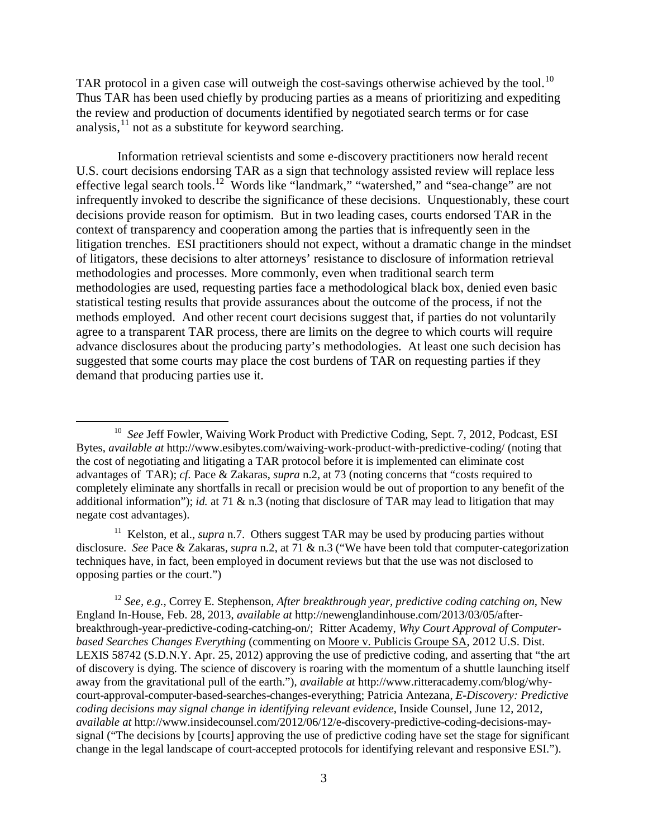TAR protocol in a given case will outweigh the cost-savings otherwise achieved by the tool.<sup>10</sup> Thus TAR has been used chiefly by producing parties as a means of prioritizing and expediting the review and production of documents identified by negotiated search terms or for case analysis, $11$  not as a substitute for keyword searching.

Information retrieval scientists and some e-discovery practitioners now herald recent U.S. court decisions endorsing TAR as a sign that technology assisted review will replace less effective legal search tools.<sup>[12](#page-2-2)</sup> Words like "landmark," "watershed," and "sea-change" are not infrequently invoked to describe the significance of these decisions. Unquestionably, these court decisions provide reason for optimism. But in two leading cases, courts endorsed TAR in the context of transparency and cooperation among the parties that is infrequently seen in the litigation trenches. ESI practitioners should not expect, without a dramatic change in the mindset of litigators, these decisions to alter attorneys' resistance to disclosure of information retrieval methodologies and processes. More commonly, even when traditional search term methodologies are used, requesting parties face a methodological black box, denied even basic statistical testing results that provide assurances about the outcome of the process, if not the methods employed. And other recent court decisions suggest that, if parties do not voluntarily agree to a transparent TAR process, there are limits on the degree to which courts will require advance disclosures about the producing party's methodologies. At least one such decision has suggested that some courts may place the cost burdens of TAR on requesting parties if they demand that producing parties use it.

<span id="page-2-1"></span><sup>11</sup> Kelston, et al., *supra* n.7. Others suggest TAR may be used by producing parties without disclosure. *See* Pace & Zakaras*, supra* n.2, at 71 & n.3 ("We have been told that computer-categorization techniques have, in fact, been employed in document reviews but that the use was not disclosed to opposing parties or the court.")

<span id="page-2-2"></span><sup>12</sup> *See, e.g.*, Correy E. Stephenson, *After breakthrough year, predictive coding catching on*, New England In-House, Feb. 28, 2013, *available at* http://newenglandinhouse.com/2013/03/05/afterbreakthrough-year-predictive-coding-catching-on/; Ritter Academy, *Why Court Approval of Computerbased Searches Changes Everything* (commenting on Moore v. Publicis Groupe SA, 2012 U.S. Dist. LEXIS 58742 (S.D.N.Y. Apr. 25, 2012) approving the use of predictive coding, and asserting that "the art of discovery is dying. The science of discovery is roaring with the momentum of a shuttle launching itself away from the gravitational pull of the earth."), *available at* http://www.ritteracademy.com/blog/whycourt-approval-computer-based-searches-changes-everything; Patricia Antezana, *E-Discovery: Predictive coding decisions may signal change in identifying relevant evidence*, Inside Counsel*,* June 12, 2012*, available at* http://www.insidecounsel.com/2012/06/12/e-discovery-predictive-coding-decisions-maysignal ("The decisions by [courts] approving the use of predictive coding have set the stage for significant change in the legal landscape of court-accepted protocols for identifying relevant and responsive ESI.").

<span id="page-2-0"></span><sup>&</sup>lt;sup>10</sup> *See* Jeff Fowler, Waiving Work Product with Predictive Coding, Sept. 7, 2012, Podcast, ESI Bytes, *available at* http://www.esibytes.com/waiving-work-product-with-predictive-coding/ (noting that the cost of negotiating and litigating a TAR protocol before it is implemented can eliminate cost advantages of TAR); *cf.* Pace & Zakaras, *supra* n.2, at 73 (noting concerns that "costs required to completely eliminate any shortfalls in recall or precision would be out of proportion to any benefit of the additional information"); *id.* at 71 & n.3 (noting that disclosure of TAR may lead to litigation that may negate cost advantages).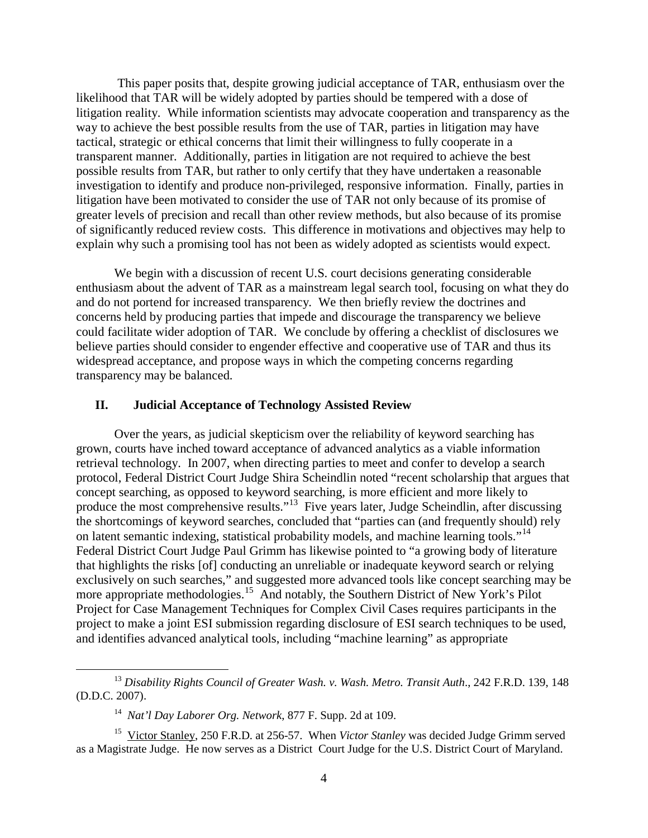This paper posits that, despite growing judicial acceptance of TAR, enthusiasm over the likelihood that TAR will be widely adopted by parties should be tempered with a dose of litigation reality. While information scientists may advocate cooperation and transparency as the way to achieve the best possible results from the use of TAR, parties in litigation may have tactical, strategic or ethical concerns that limit their willingness to fully cooperate in a transparent manner. Additionally, parties in litigation are not required to achieve the best possible results from TAR, but rather to only certify that they have undertaken a reasonable investigation to identify and produce non-privileged, responsive information. Finally, parties in litigation have been motivated to consider the use of TAR not only because of its promise of greater levels of precision and recall than other review methods, but also because of its promise of significantly reduced review costs. This difference in motivations and objectives may help to explain why such a promising tool has not been as widely adopted as scientists would expect.

We begin with a discussion of recent U.S. court decisions generating considerable enthusiasm about the advent of TAR as a mainstream legal search tool, focusing on what they do and do not portend for increased transparency. We then briefly review the doctrines and concerns held by producing parties that impede and discourage the transparency we believe could facilitate wider adoption of TAR. We conclude by offering a checklist of disclosures we believe parties should consider to engender effective and cooperative use of TAR and thus its widespread acceptance, and propose ways in which the competing concerns regarding transparency may be balanced.

#### **II. Judicial Acceptance of Technology Assisted Review**

Over the years, as judicial skepticism over the reliability of keyword searching has grown, courts have inched toward acceptance of advanced analytics as a viable information retrieval technology. In 2007, when directing parties to meet and confer to develop a search protocol, Federal District Court Judge Shira Scheindlin noted "recent scholarship that argues that concept searching, as opposed to keyword searching, is more efficient and more likely to produce the most comprehensive results."<sup>13</sup> Five years later, Judge Scheindlin, after discussing the shortcomings of keyword searches, concluded that "parties can (and frequently should) rely on latent semantic indexing, statistical probability models, and machine learning tools."<sup>[14](#page-3-1)</sup> Federal District Court Judge Paul Grimm has likewise pointed to "a growing body of literature that highlights the risks [of] conducting an unreliable or inadequate keyword search or relying exclusively on such searches," and suggested more advanced tools like concept searching may be more appropriate methodologies.<sup>15</sup> And notably, the Southern District of New York's Pilot Project for Case Management Techniques for Complex Civil Cases requires participants in the project to make a joint ESI submission regarding disclosure of ESI search techniques to be used, and identifies advanced analytical tools, including "machine learning" as appropriate

<span id="page-3-0"></span> <sup>13</sup> *Disability Rights Council of Greater Wash. v. Wash. Metro. Transit Auth*., 242 F.R.D. 139, 148 (D.D.C. 2007).

<sup>14</sup> *Nat'l Day Laborer Org. Network*, 877 F. Supp. 2d at 109.

<span id="page-3-2"></span><span id="page-3-1"></span><sup>&</sup>lt;sup>15</sup> Victor Stanley, 250 F.R.D. at 256-57. When *Victor Stanley* was decided Judge Grimm served as a Magistrate Judge. He now serves as a District Court Judge for the U.S. District Court of Maryland.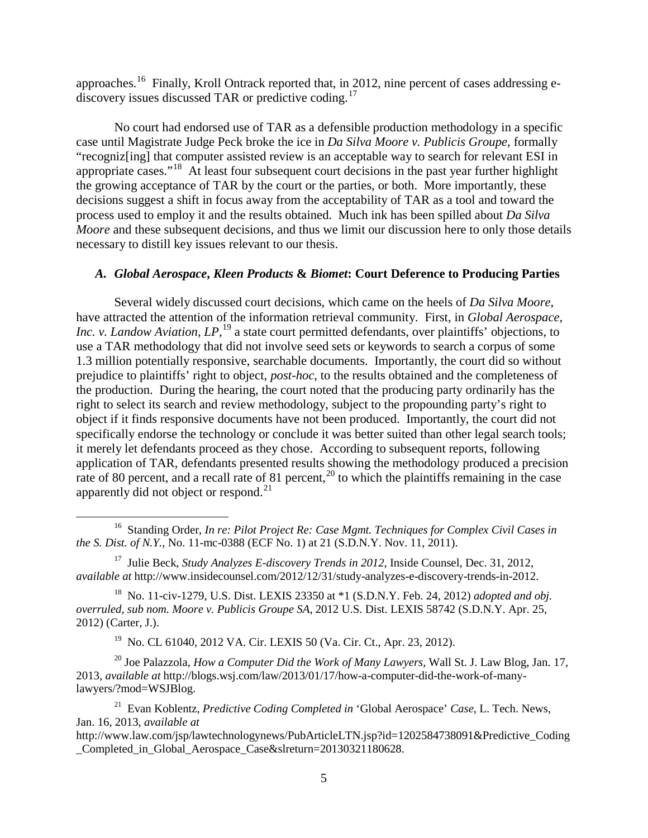approaches.<sup>[16](#page-4-0)</sup> Finally, Kroll Ontrack reported that, in 2012, nine percent of cases addressing e-discovery issues discussed TAR or predictive coding.<sup>[17](#page-4-1)</sup>

No court had endorsed use of TAR as a defensible production methodology in a specific case until Magistrate Judge Peck broke the ice in *Da Silva Moore v. Publicis Groupe*, formally "recogniz[ing] that computer assisted review is an acceptable way to search for relevant ESI in appropriate cases."[18](#page-4-2) At least four subsequent court decisions in the past year further highlight the growing acceptance of TAR by the court or the parties, or both. More importantly, these decisions suggest a shift in focus away from the acceptability of TAR as a tool and toward the process used to employ it and the results obtained. Much ink has been spilled about *Da Silva Moore* and these subsequent decisions, and thus we limit our discussion here to only those details necessary to distill key issues relevant to our thesis.

# *A. Global Aerospace***,** *Kleen Products* **&** *Biomet***: Court Deference to Producing Parties**

Several widely discussed court decisions, which came on the heels of *Da Silva Moore*, have attracted the attention of the information retrieval community. First, in *Global Aerospace, Inc. v. Landow Aviation, LP*, <sup>[19](#page-4-3)</sup> a state court permitted defendants, over plaintiffs' objections, to use a TAR methodology that did not involve seed sets or keywords to search a corpus of some 1.3 million potentially responsive, searchable documents. Importantly, the court did so without prejudice to plaintiffs' right to object, *post-hoc*, to the results obtained and the completeness of the production. During the hearing, the court noted that the producing party ordinarily has the right to select its search and review methodology, subject to the propounding party's right to object if it finds responsive documents have not been produced. Importantly, the court did not specifically endorse the technology or conclude it was better suited than other legal search tools; it merely let defendants proceed as they chose. According to subsequent reports, following application of TAR, defendants presented results showing the methodology produced a precision rate of 80 percent, and a recall rate of 81 percent,<sup>[20](#page-4-4)</sup> to which the plaintiffs remaining in the case apparently did not object or respond.<sup>[21](#page-4-5)</sup>

19 No. CL 61040, 2012 VA. Cir. LEXIS 50 (Va. Cir. Ct., Apr. 23, 2012).

<span id="page-4-4"></span><span id="page-4-3"></span><sup>20</sup> Joe Palazzola, *How a Computer Did the Work of Many Lawyers*, Wall St. J. Law Blog, Jan. 17, 2013, *available at* http://blogs.wsj.com/law/2013/01/17/how-a-computer-did-the-work-of-manylawyers/?mod=WSJBlog.

<span id="page-4-5"></span>21 Evan Koblentz, *Predictive Coding Completed in* 'Global Aerospace' *Case*, L. Tech. News, Jan. 16, 2013, *available at*

<span id="page-4-0"></span> <sup>16</sup> Standing Order, *In re: Pilot Project Re: Case Mgmt. Techniques for Complex Civil Cases in the S. Dist. of N.Y.*, No. 11-mc-0388 (ECF No. 1) at 21 (S.D.N.Y. Nov. 11, 2011).

<span id="page-4-1"></span><sup>17</sup> Julie Beck, *Study Analyzes E-discovery Trends in 2012*, Inside Counsel, Dec. 31, 2012, *available at* http://www.insidecounsel.com/2012/12/31/study-analyzes-e-discovery-trends-in-2012.

<span id="page-4-2"></span><sup>18</sup> No. 11-civ-1279, U.S. Dist. LEXIS 23350 at \*1 (S.D.N.Y. Feb. 24, 2012) *adopted and obj. overruled, sub nom. Moore v. Publicis Groupe SA*, 2012 U.S. Dist. LEXIS 58742 (S.D.N.Y. Apr. 25, 2012) (Carter, J.).

http://www.law.com/jsp/lawtechnologynews/PubArticleLTN.jsp?id=1202584738091&Predictive\_Coding \_Completed\_in\_Global\_Aerospace\_Case&slreturn=20130321180628.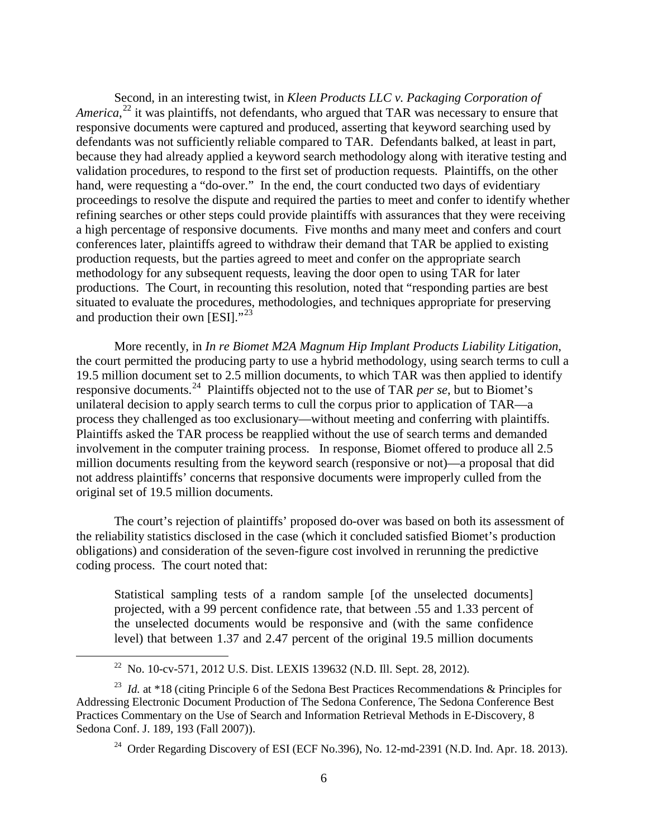Second, in an interesting twist, in *Kleen Products LLC v. Packaging Corporation of*  America,<sup>[22](#page-5-0)</sup> it was plaintiffs, not defendants, who argued that TAR was necessary to ensure that responsive documents were captured and produced, asserting that keyword searching used by defendants was not sufficiently reliable compared to TAR. Defendants balked, at least in part, because they had already applied a keyword search methodology along with iterative testing and validation procedures, to respond to the first set of production requests. Plaintiffs, on the other hand, were requesting a "do-over." In the end, the court conducted two days of evidentiary proceedings to resolve the dispute and required the parties to meet and confer to identify whether refining searches or other steps could provide plaintiffs with assurances that they were receiving a high percentage of responsive documents. Five months and many meet and confers and court conferences later, plaintiffs agreed to withdraw their demand that TAR be applied to existing production requests, but the parties agreed to meet and confer on the appropriate search methodology for any subsequent requests, leaving the door open to using TAR for later productions. The Court, in recounting this resolution, noted that "responding parties are best situated to evaluate the procedures, methodologies, and techniques appropriate for preserving and production their own  $[ESI].$ <sup>"23"</sup>

More recently, in *In re Biomet M2A Magnum Hip Implant Products Liability Litigation*, the court permitted the producing party to use a hybrid methodology, using search terms to cull a 19.5 million document set to 2.5 million documents, to which TAR was then applied to identify responsive documents.[24](#page-5-2) Plaintiffs objected not to the use of TAR *per se*, but to Biomet's unilateral decision to apply search terms to cull the corpus prior to application of TAR—a process they challenged as too exclusionary—without meeting and conferring with plaintiffs. Plaintiffs asked the TAR process be reapplied without the use of search terms and demanded involvement in the computer training process. In response, Biomet offered to produce all 2.5 million documents resulting from the keyword search (responsive or not)—a proposal that did not address plaintiffs' concerns that responsive documents were improperly culled from the original set of 19.5 million documents.

The court's rejection of plaintiffs' proposed do-over was based on both its assessment of the reliability statistics disclosed in the case (which it concluded satisfied Biomet's production obligations) and consideration of the seven-figure cost involved in rerunning the predictive coding process. The court noted that:

Statistical sampling tests of a random sample [of the unselected documents] projected, with a 99 percent confidence rate, that between .55 and 1.33 percent of the unselected documents would be responsive and (with the same confidence level) that between 1.37 and 2.47 percent of the original 19.5 million documents

 <sup>22</sup> No. 10-cv-571, 2012 U.S. Dist. LEXIS 139632 (N.D. Ill. Sept. 28, 2012).

<span id="page-5-2"></span><span id="page-5-1"></span><span id="page-5-0"></span><sup>&</sup>lt;sup>23</sup> *Id.* at \*18 (citing Principle 6 of the Sedona Best Practices Recommendations & Principles for Addressing Electronic Document Production of The Sedona Conference, The Sedona Conference Best Practices Commentary on the Use of Search and Information Retrieval Methods in E-Discovery, 8 Sedona Conf. J. 189, 193 (Fall 2007)).

<sup>&</sup>lt;sup>24</sup> Order Regarding Discovery of ESI (ECF No.396), No. 12-md-2391 (N.D. Ind. Apr. 18. 2013).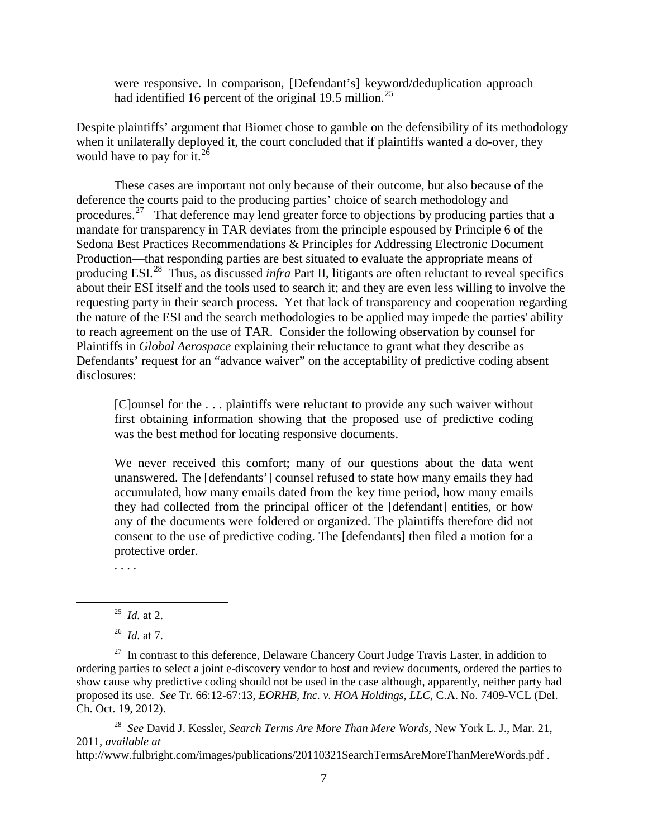were responsive. In comparison, [Defendant's] keyword/deduplication approach had identified 16 percent of the original 19.5 million.<sup>[25](#page-6-0)</sup>

Despite plaintiffs' argument that Biomet chose to gamble on the defensibility of its methodology when it unilaterally deployed it, the court concluded that if plaintiffs wanted a do-over, they would have to pay for it.  $2^6$ 

These cases are important not only because of their outcome, but also because of the deference the courts paid to the producing parties' choice of search methodology and procedures.<sup>[27](#page-6-2)</sup> That deference may lend greater force to objections by producing parties that a mandate for transparency in TAR deviates from the principle espoused by Principle 6 of the Sedona Best Practices Recommendations & Principles for Addressing Electronic Document Production—that responding parties are best situated to evaluate the appropriate means of producing ESI.[28](#page-6-3) Thus, as discussed *infra* Part II, litigants are often reluctant to reveal specifics about their ESI itself and the tools used to search it; and they are even less willing to involve the requesting party in their search process. Yet that lack of transparency and cooperation regarding the nature of the ESI and the search methodologies to be applied may impede the parties' ability to reach agreement on the use of TAR. Consider the following observation by counsel for Plaintiffs in *Global Aerospace* explaining their reluctance to grant what they describe as Defendants' request for an "advance waiver" on the acceptability of predictive coding absent disclosures:

[C]ounsel for the . . . plaintiffs were reluctant to provide any such waiver without first obtaining information showing that the proposed use of predictive coding was the best method for locating responsive documents.

We never received this comfort; many of our questions about the data went unanswered. The [defendants'] counsel refused to state how many emails they had accumulated, how many emails dated from the key time period, how many emails they had collected from the principal officer of the [defendant] entities, or how any of the documents were foldered or organized. The plaintiffs therefore did not consent to the use of predictive coding. The [defendants] then filed a motion for a protective order.

. . . .

<span id="page-6-3"></span>28 *See* David J. Kessler, *Search Terms Are More Than Mere Words*, New York L. J., Mar. 21, 2011, *available at* 

http://www.fulbright.com/images/publications/20110321SearchTermsAreMoreThanMereWords.pdf .

 <sup>25</sup> *Id.* at 2.

<sup>26</sup> *Id.* at 7.

<span id="page-6-2"></span><span id="page-6-1"></span><span id="page-6-0"></span> $27$  In contrast to this deference, Delaware Chancery Court Judge Travis Laster, in addition to ordering parties to select a joint e-discovery vendor to host and review documents, ordered the parties to show cause why predictive coding should not be used in the case although, apparently, neither party had proposed its use. *See* Tr. 66:12-67:13, *EORHB, Inc. v. HOA Holdings, LLC*, C.A. No. 7409-VCL (Del. Ch. Oct. 19, 2012).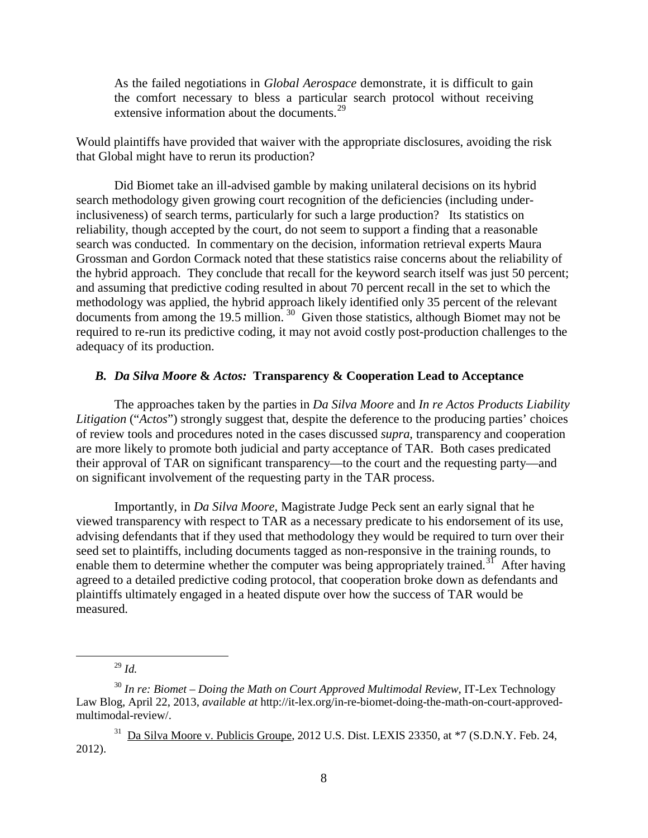As the failed negotiations in *Global Aerospace* demonstrate, it is difficult to gain the comfort necessary to bless a particular search protocol without receiving extensive information about the documents.<sup>[29](#page-7-0)</sup>

Would plaintiffs have provided that waiver with the appropriate disclosures, avoiding the risk that Global might have to rerun its production?

Did Biomet take an ill-advised gamble by making unilateral decisions on its hybrid search methodology given growing court recognition of the deficiencies (including underinclusiveness) of search terms, particularly for such a large production? Its statistics on reliability, though accepted by the court, do not seem to support a finding that a reasonable search was conducted. In commentary on the decision, information retrieval experts Maura Grossman and Gordon Cormack noted that these statistics raise concerns about the reliability of the hybrid approach. They conclude that recall for the keyword search itself was just 50 percent; and assuming that predictive coding resulted in about 70 percent recall in the set to which the methodology was applied, the hybrid approach likely identified only 35 percent of the relevant documents from among the 19.5 million.<sup>[30](#page-7-1)</sup> Given those statistics, although Biomet may not be required to re-run its predictive coding, it may not avoid costly post-production challenges to the adequacy of its production.

#### *B. Da Silva Moore* **&** *Actos:* **Transparency & Cooperation Lead to Acceptance**

The approaches taken by the parties in *Da Silva Moore* and *In re Actos Products Liability Litigation* ("*Actos*") strongly suggest that, despite the deference to the producing parties' choices of review tools and procedures noted in the cases discussed *supra*, transparency and cooperation are more likely to promote both judicial and party acceptance of TAR. Both cases predicated their approval of TAR on significant transparency—to the court and the requesting party—and on significant involvement of the requesting party in the TAR process.

Importantly, in *Da Silva Moore*, Magistrate Judge Peck sent an early signal that he viewed transparency with respect to TAR as a necessary predicate to his endorsement of its use, advising defendants that if they used that methodology they would be required to turn over their seed set to plaintiffs, including documents tagged as non-responsive in the training rounds, to enable them to determine whether the computer was being appropriately trained.<sup>31</sup> After having agreed to a detailed predictive coding protocol, that cooperation broke down as defendants and plaintiffs ultimately engaged in a heated dispute over how the success of TAR would be measured.

29 *Id.* 

<span id="page-7-1"></span><span id="page-7-0"></span><sup>30</sup> *In re: Biomet – Doing the Math on Court Approved Multimodal Review*, IT-Lex Technology Law Blog, April 22, 2013, *available at* http://it-lex.org/in-re-biomet-doing-the-math-on-court-approvedmultimodal-review/.

<span id="page-7-2"></span><sup>&</sup>lt;sup>31</sup> Da Silva Moore v. Publicis Groupe, 2012 U.S. Dist. LEXIS 23350, at \*7 (S.D.N.Y. Feb. 24, 2012).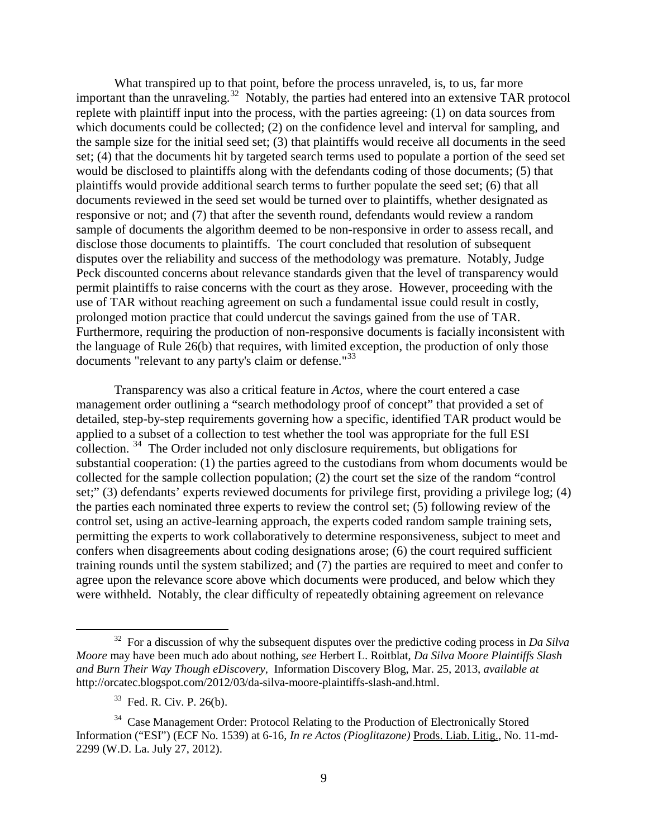What transpired up to that point, before the process unraveled, is, to us, far more important than the unraveling.<sup>32</sup> Notably, the parties had entered into an extensive TAR protocol replete with plaintiff input into the process, with the parties agreeing: (1) on data sources from which documents could be collected; (2) on the confidence level and interval for sampling, and the sample size for the initial seed set; (3) that plaintiffs would receive all documents in the seed set; (4) that the documents hit by targeted search terms used to populate a portion of the seed set would be disclosed to plaintiffs along with the defendants coding of those documents; (5) that plaintiffs would provide additional search terms to further populate the seed set; (6) that all documents reviewed in the seed set would be turned over to plaintiffs, whether designated as responsive or not; and (7) that after the seventh round, defendants would review a random sample of documents the algorithm deemed to be non-responsive in order to assess recall, and disclose those documents to plaintiffs. The court concluded that resolution of subsequent disputes over the reliability and success of the methodology was premature. Notably, Judge Peck discounted concerns about relevance standards given that the level of transparency would permit plaintiffs to raise concerns with the court as they arose. However, proceeding with the use of TAR without reaching agreement on such a fundamental issue could result in costly, prolonged motion practice that could undercut the savings gained from the use of TAR. Furthermore, requiring the production of non-responsive documents is facially inconsistent with the language of Rule 26(b) that requires, with limited exception, the production of only those documents "relevant to any party's claim or defense."<sup>[33](#page-8-1)</sup>

Transparency was also a critical feature in *Actos*, where the court entered a case management order outlining a "search methodology proof of concept" that provided a set of detailed, step-by-step requirements governing how a specific, identified TAR product would be applied to a subset of a collection to test whether the tool was appropriate for the full ESI collection. <sup>[34](#page-8-2)</sup> The Order included not only disclosure requirements, but obligations for substantial cooperation: (1) the parties agreed to the custodians from whom documents would be collected for the sample collection population; (2) the court set the size of the random "control set;" (3) defendants' experts reviewed documents for privilege first, providing a privilege log; (4) the parties each nominated three experts to review the control set; (5) following review of the control set, using an active-learning approach, the experts coded random sample training sets, permitting the experts to work collaboratively to determine responsiveness, subject to meet and confers when disagreements about coding designations arose; (6) the court required sufficient training rounds until the system stabilized; and (7) the parties are required to meet and confer to agree upon the relevance score above which documents were produced, and below which they were withheld. Notably, the clear difficulty of repeatedly obtaining agreement on relevance

<span id="page-8-0"></span> <sup>32</sup> For a discussion of why the subsequent disputes over the predictive coding process in *Da Silva Moore* may have been much ado about nothing, *see* Herbert L. Roitblat, *Da Silva Moore Plaintiffs Slash and Burn Their Way Though eDiscovery*, Information Discovery Blog, Mar. 25, 2013, *available at*  http://orcatec.blogspot.com/2012/03/da-silva-moore-plaintiffs-slash-and.html.

<sup>33</sup> Fed. R. Civ. P. 26(b).

<span id="page-8-2"></span><span id="page-8-1"></span><sup>&</sup>lt;sup>34</sup> Case Management Order: Protocol Relating to the Production of Electronically Stored Information ("ESI") (ECF No. 1539) at 6-16, *In re Actos (Pioglitazone)* Prods. Liab. Litig., No. 11-md-2299 (W.D. La. July 27, 2012).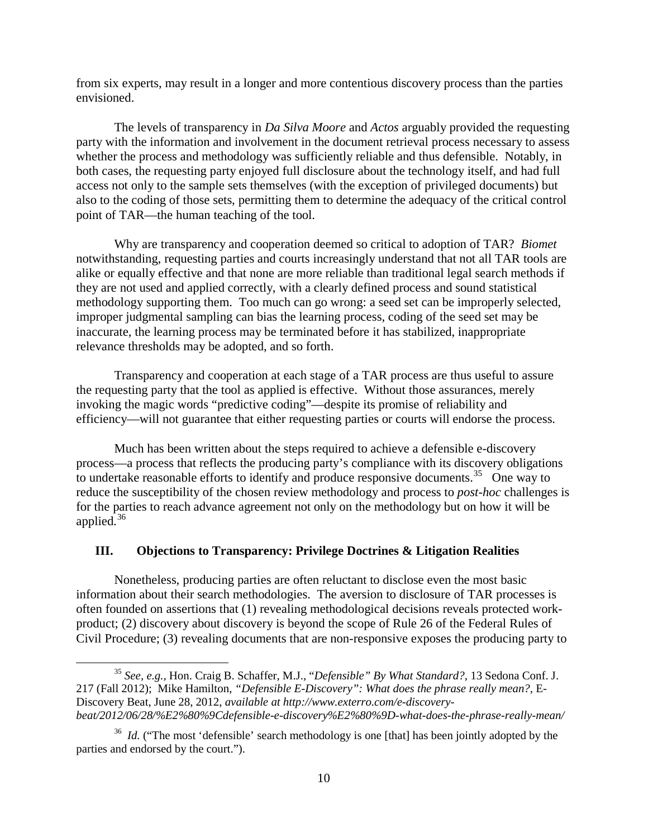from six experts, may result in a longer and more contentious discovery process than the parties envisioned.

The levels of transparency in *Da Silva Moore* and *Actos* arguably provided the requesting party with the information and involvement in the document retrieval process necessary to assess whether the process and methodology was sufficiently reliable and thus defensible. Notably, in both cases, the requesting party enjoyed full disclosure about the technology itself, and had full access not only to the sample sets themselves (with the exception of privileged documents) but also to the coding of those sets, permitting them to determine the adequacy of the critical control point of TAR—the human teaching of the tool.

Why are transparency and cooperation deemed so critical to adoption of TAR? *Biomet*  notwithstanding, requesting parties and courts increasingly understand that not all TAR tools are alike or equally effective and that none are more reliable than traditional legal search methods if they are not used and applied correctly, with a clearly defined process and sound statistical methodology supporting them. Too much can go wrong: a seed set can be improperly selected, improper judgmental sampling can bias the learning process, coding of the seed set may be inaccurate, the learning process may be terminated before it has stabilized, inappropriate relevance thresholds may be adopted, and so forth.

Transparency and cooperation at each stage of a TAR process are thus useful to assure the requesting party that the tool as applied is effective. Without those assurances, merely invoking the magic words "predictive coding"—despite its promise of reliability and efficiency—will not guarantee that either requesting parties or courts will endorse the process.

Much has been written about the steps required to achieve a defensible e-discovery process—a process that reflects the producing party's compliance with its discovery obligations to undertake reasonable efforts to identify and produce responsive documents.<sup>35</sup> One way to reduce the susceptibility of the chosen review methodology and process to *post-hoc* challenges is for the parties to reach advance agreement not only on the methodology but on how it will be applied. $36$ 

#### **III. Objections to Transparency: Privilege Doctrines & Litigation Realities**

Nonetheless, producing parties are often reluctant to disclose even the most basic information about their search methodologies. The aversion to disclosure of TAR processes is often founded on assertions that (1) revealing methodological decisions reveals protected workproduct; (2) discovery about discovery is beyond the scope of Rule 26 of the Federal Rules of Civil Procedure; (3) revealing documents that are non-responsive exposes the producing party to

<span id="page-9-0"></span> <sup>35</sup> *See, e.g.,* Hon. Craig B. Schaffer, M.J., "*Defensible" By What Standard?*, 13 Sedona Conf. J. 217 (Fall 2012); Mike Hamilton, *"Defensible E-Discovery": What does the phrase really mean?,* E-Discovery Beat, June 28, 2012, *available at http://www.exterro.com/e-discoverybeat/2012/06/28/%E2%80%9Cdefensible-e-discovery%E2%80%9D-what-does-the-phrase-really-mean/*

<span id="page-9-1"></span><sup>&</sup>lt;sup>36</sup> *Id.* ("The most 'defensible' search methodology is one [that] has been jointly adopted by the parties and endorsed by the court.").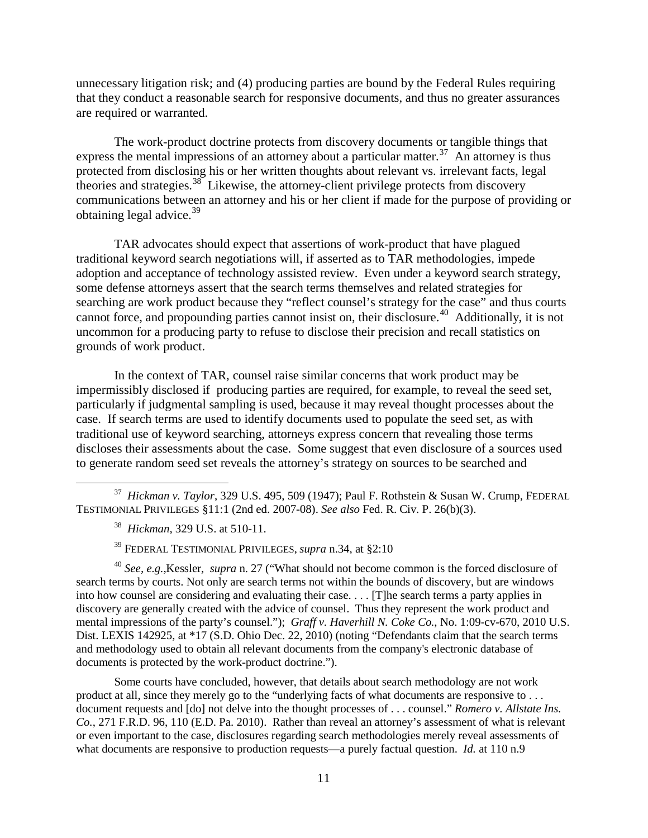unnecessary litigation risk; and (4) producing parties are bound by the Federal Rules requiring that they conduct a reasonable search for responsive documents, and thus no greater assurances are required or warranted.

The work-product doctrine protects from discovery documents or tangible things that express the mental impressions of an attorney about a particular matter.<sup>37</sup> An attorney is thus protected from disclosing his or her written thoughts about relevant vs. irrelevant facts, legal theories and strategies.<sup>[38](#page-10-1)</sup> Likewise, the attorney-client privilege protects from discovery communications between an attorney and his or her client if made for the purpose of providing or obtaining legal advice. $39$ 

TAR advocates should expect that assertions of work-product that have plagued traditional keyword search negotiations will, if asserted as to TAR methodologies, impede adoption and acceptance of technology assisted review. Even under a keyword search strategy, some defense attorneys assert that the search terms themselves and related strategies for searching are work product because they "reflect counsel's strategy for the case" and thus courts cannot force, and propounding parties cannot insist on, their disclosure.<sup>40</sup> Additionally, it is not uncommon for a producing party to refuse to disclose their precision and recall statistics on grounds of work product.

In the context of TAR, counsel raise similar concerns that work product may be impermissibly disclosed if producing parties are required, for example, to reveal the seed set, particularly if judgmental sampling is used, because it may reveal thought processes about the case. If search terms are used to identify documents used to populate the seed set, as with traditional use of keyword searching, attorneys express concern that revealing those terms discloses their assessments about the case. Some suggest that even disclosure of a sources used to generate random seed set reveals the attorney's strategy on sources to be searched and

<span id="page-10-3"></span><span id="page-10-2"></span><sup>40</sup> *See, e.g.,*Kessler, *supra* n. 27 ("What should not become common is the forced disclosure of search terms by courts. Not only are search terms not within the bounds of discovery, but are windows into how counsel are considering and evaluating their case. . . . [T]he search terms a party applies in discovery are generally created with the advice of counsel. Thus they represent the work product and mental impressions of the party's counsel."); *Graff v. Haverhill N. Coke Co.*, No. 1:09-cv-670, 2010 U.S. Dist. LEXIS 142925, at \*17 (S.D. Ohio Dec. 22, 2010) (noting "Defendants claim that the search terms and methodology used to obtain all relevant documents from the company's electronic database of documents is protected by the work-product doctrine.").

Some courts have concluded, however, that details about search methodology are not work product at all, since they merely go to the "underlying facts of what documents are responsive to . . . document requests and [do] not delve into the thought processes of . . . counsel." *Romero v. Allstate Ins. Co.*, 271 F.R.D. 96, 110 (E.D. Pa. 2010). Rather than reveal an attorney's assessment of what is relevant or even important to the case, disclosures regarding search methodologies merely reveal assessments of what documents are responsive to production requests—a purely factual question. *Id.* at 110 n.9

<span id="page-10-1"></span><span id="page-10-0"></span> <sup>37</sup> *Hickman v. Taylor*, 329 U.S. 495, 509 (1947); Paul F. Rothstein & Susan W. Crump, FEDERAL TESTIMONIAL PRIVILEGES §11:1 (2nd ed. 2007-08). *See also* Fed. R. Civ. P. 26(b)(3).

<sup>38</sup> *Hickman,* 329 U.S. at 510-11.

<sup>39</sup> FEDERAL TESTIMONIAL PRIVILEGES, *supra* n.34, at §2:10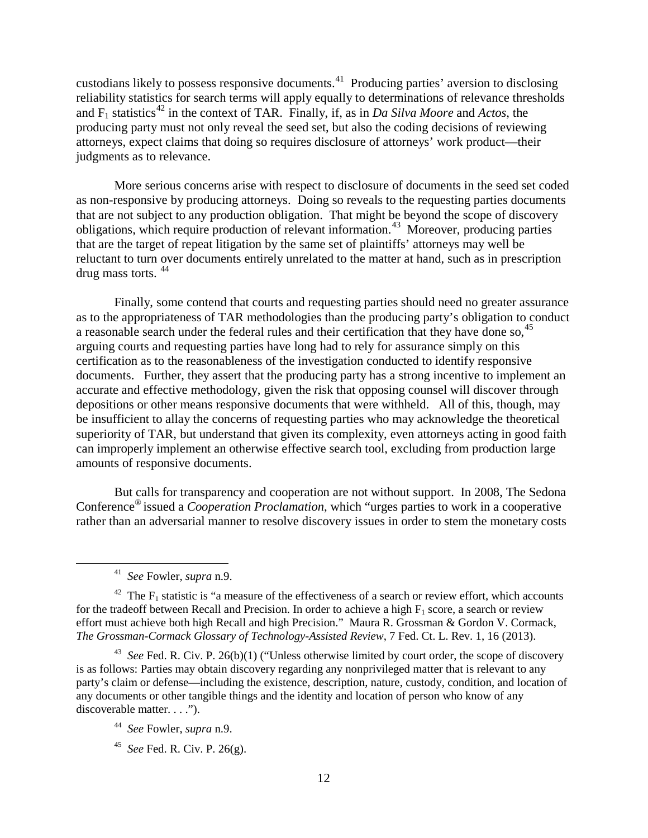custodians likely to possess responsive documents.[41](#page-11-0) Producing parties' aversion to disclosing reliability statistics for search terms will apply equally to determinations of relevance thresholds and  $F_1$  statistics<sup>[42](#page-11-1)</sup> in the context of TAR. Finally, if, as in *Da Silva Moore* and *Actos*, the producing party must not only reveal the seed set, but also the coding decisions of reviewing attorneys, expect claims that doing so requires disclosure of attorneys' work product—their judgments as to relevance.

More serious concerns arise with respect to disclosure of documents in the seed set coded as non-responsive by producing attorneys. Doing so reveals to the requesting parties documents that are not subject to any production obligation. That might be beyond the scope of discovery obligations, which require production of relevant information.<sup>43</sup> Moreover, producing parties that are the target of repeat litigation by the same set of plaintiffs' attorneys may well be reluctant to turn over documents entirely unrelated to the matter at hand, such as in prescription drug mass torts. [44](#page-11-3)

Finally, some contend that courts and requesting parties should need no greater assurance as to the appropriateness of TAR methodologies than the producing party's obligation to conduct a reasonable search under the federal rules and their certification that they have done so, [45](#page-11-4) arguing courts and requesting parties have long had to rely for assurance simply on this certification as to the reasonableness of the investigation conducted to identify responsive documents. Further, they assert that the producing party has a strong incentive to implement an accurate and effective methodology, given the risk that opposing counsel will discover through depositions or other means responsive documents that were withheld. All of this, though, may be insufficient to allay the concerns of requesting parties who may acknowledge the theoretical superiority of TAR, but understand that given its complexity, even attorneys acting in good faith can improperly implement an otherwise effective search tool, excluding from production large amounts of responsive documents.

But calls for transparency and cooperation are not without support. In 2008, The Sedona Conference® issued a *Cooperation Proclamation*, which "urges parties to work in a cooperative rather than an adversarial manner to resolve discovery issues in order to stem the monetary costs

<span id="page-11-3"></span><span id="page-11-2"></span><sup>43</sup> *See* Fed. R. Civ. P. 26(b)(1) ("Unless otherwise limited by court order, the scope of discovery is as follows: Parties may obtain discovery regarding any nonprivileged matter that is relevant to any party's claim or defense—including the existence, description, nature, custody, condition, and location of any documents or other tangible things and the identity and location of person who know of any discoverable matter. . . .").

 <sup>41</sup> *See* Fowler, *supra* n.9.

<span id="page-11-1"></span><span id="page-11-0"></span><sup>&</sup>lt;sup>42</sup> The  $F_1$  statistic is "a measure of the effectiveness of a search or review effort, which accounts for the tradeoff between Recall and Precision. In order to achieve a high  $F_1$  score, a search or review effort must achieve both high Recall and high Precision." Maura R. Grossman & Gordon V. Cormack, *The Grossman-Cormack Glossary of Technology-Assisted Review*, 7 Fed. Ct. L. Rev. 1, 16 (2013).

<sup>44</sup> *See* Fowler, *supra* n.9.

<span id="page-11-4"></span><sup>45</sup> *See* Fed. R. Civ. P. 26(g).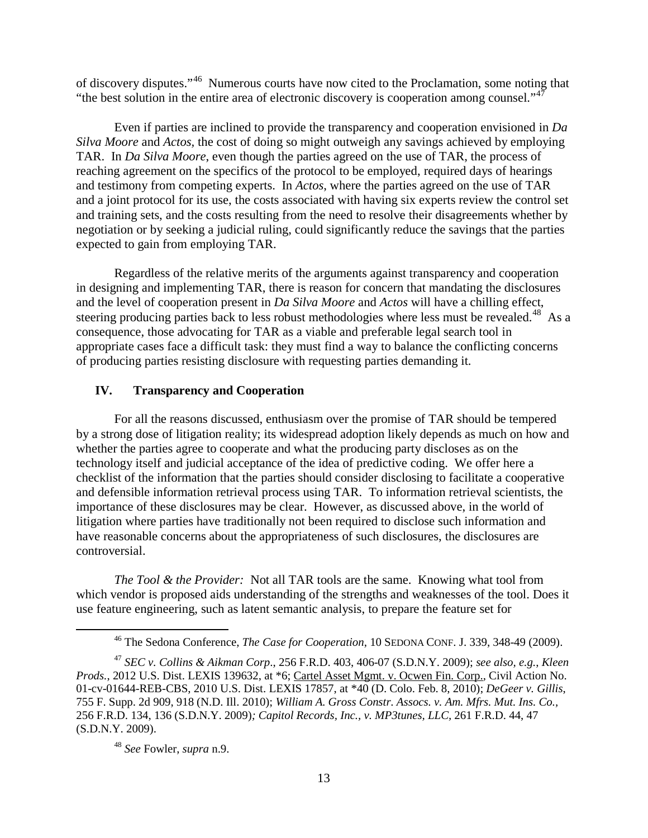of discovery disputes."[46](#page-12-0) Numerous courts have now cited to the Proclamation, some noting that "the best solution in the entire area of electronic discovery is cooperation among counsel."<sup>[47](#page-12-1)</sup>

Even if parties are inclined to provide the transparency and cooperation envisioned in *Da Silva Moore* and *Actos,* the cost of doing so might outweigh any savings achieved by employing TAR. In *Da Silva Moore*, even though the parties agreed on the use of TAR, the process of reaching agreement on the specifics of the protocol to be employed, required days of hearings and testimony from competing experts. In *Actos*, where the parties agreed on the use of TAR and a joint protocol for its use, the costs associated with having six experts review the control set and training sets, and the costs resulting from the need to resolve their disagreements whether by negotiation or by seeking a judicial ruling, could significantly reduce the savings that the parties expected to gain from employing TAR.

Regardless of the relative merits of the arguments against transparency and cooperation in designing and implementing TAR, there is reason for concern that mandating the disclosures and the level of cooperation present in *Da Silva Moore* and *Actos* will have a chilling effect, steering producing parties back to less robust methodologies where less must be revealed.<sup>48</sup> As a consequence, those advocating for TAR as a viable and preferable legal search tool in appropriate cases face a difficult task: they must find a way to balance the conflicting concerns of producing parties resisting disclosure with requesting parties demanding it.

## **IV. Transparency and Cooperation**

For all the reasons discussed, enthusiasm over the promise of TAR should be tempered by a strong dose of litigation reality; its widespread adoption likely depends as much on how and whether the parties agree to cooperate and what the producing party discloses as on the technology itself and judicial acceptance of the idea of predictive coding. We offer here a checklist of the information that the parties should consider disclosing to facilitate a cooperative and defensible information retrieval process using TAR. To information retrieval scientists, the importance of these disclosures may be clear. However, as discussed above, in the world of litigation where parties have traditionally not been required to disclose such information and have reasonable concerns about the appropriateness of such disclosures, the disclosures are controversial.

*The Tool & the Provider:* Not all TAR tools are the same. Knowing what tool from which vendor is proposed aids understanding of the strengths and weaknesses of the tool. Does it use feature engineering, such as latent semantic analysis, to prepare the feature set for

 <sup>46</sup> The Sedona Conference, *The Case for Cooperation*, 10 SEDONA CONF. J. 339, 348-49 (2009).

<span id="page-12-1"></span><span id="page-12-0"></span><sup>47</sup> *SEC v. Collins & Aikman Corp*., 256 F.R.D. 403, 406-07 (S.D.N.Y. 2009); *see also, e.g.*, *Kleen Prods.*, 2012 U.S. Dist. LEXIS 139632, at \*6; Cartel Asset Mgmt. v. Ocwen Fin. Corp., Civil Action No. 01-cv-01644-REB-CBS, 2010 U.S. Dist. LEXIS 17857, at \*40 (D. Colo. Feb. 8, 2010); *DeGeer v. Gillis*, 755 F. Supp. 2d 909, 918 (N.D. Ill. 2010); *William A. Gross Constr. Assocs. v. Am. Mfrs. Mut. Ins. Co.,*  256 F.R.D. 134, 136 (S.D.N.Y. 2009)*; Capitol Records, Inc., v. MP3tunes, LLC,* 261 F.R.D. 44, 47 (S.D.N.Y. 2009).

<span id="page-12-2"></span><sup>48</sup> *See* Fowler, *supra* n.9.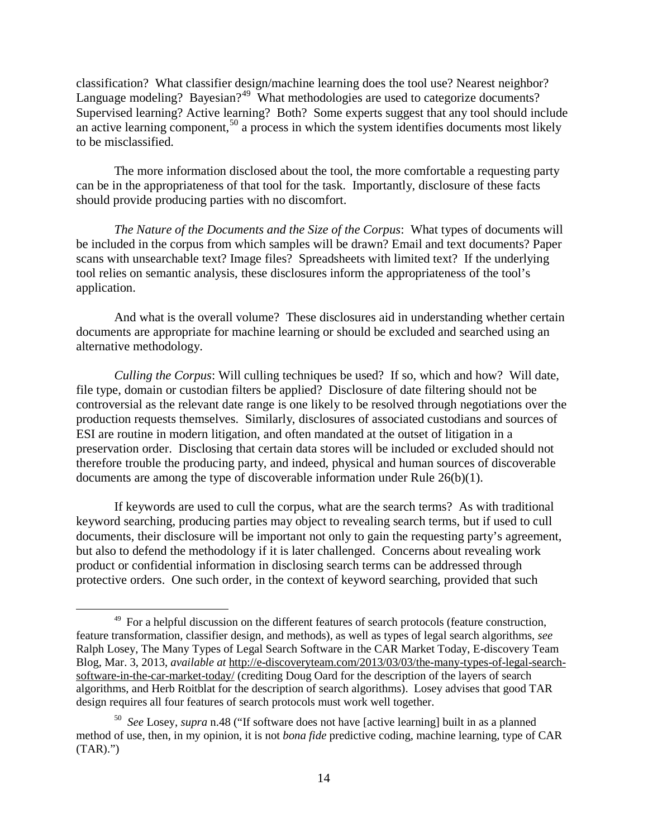classification? What classifier design/machine learning does the tool use? Nearest neighbor? Language modeling? Bayesian?<sup>[49](#page-13-0)</sup> What methodologies are used to categorize documents? Supervised learning? Active learning? Both? Some experts suggest that any tool should include an active learning component,<sup>[50](#page-13-1)</sup> a process in which the system identifies documents most likely to be misclassified.

The more information disclosed about the tool, the more comfortable a requesting party can be in the appropriateness of that tool for the task. Importantly, disclosure of these facts should provide producing parties with no discomfort.

*The Nature of the Documents and the Size of the Corpus*: What types of documents will be included in the corpus from which samples will be drawn? Email and text documents? Paper scans with unsearchable text? Image files? Spreadsheets with limited text? If the underlying tool relies on semantic analysis, these disclosures inform the appropriateness of the tool's application.

And what is the overall volume? These disclosures aid in understanding whether certain documents are appropriate for machine learning or should be excluded and searched using an alternative methodology.

*Culling the Corpus*: Will culling techniques be used? If so, which and how? Will date, file type, domain or custodian filters be applied? Disclosure of date filtering should not be controversial as the relevant date range is one likely to be resolved through negotiations over the production requests themselves. Similarly, disclosures of associated custodians and sources of ESI are routine in modern litigation, and often mandated at the outset of litigation in a preservation order. Disclosing that certain data stores will be included or excluded should not therefore trouble the producing party, and indeed, physical and human sources of discoverable documents are among the type of discoverable information under Rule 26(b)(1).

If keywords are used to cull the corpus, what are the search terms? As with traditional keyword searching, producing parties may object to revealing search terms, but if used to cull documents, their disclosure will be important not only to gain the requesting party's agreement, but also to defend the methodology if it is later challenged. Concerns about revealing work product or confidential information in disclosing search terms can be addressed through protective orders. One such order, in the context of keyword searching, provided that such

<span id="page-13-0"></span><sup>&</sup>lt;sup>49</sup> For a helpful discussion on the different features of search protocols (feature construction, feature transformation, classifier design, and methods), as well as types of legal search algorithms, *see*  Ralph Losey, The Many Types of Legal Search Software in the CAR Market Today, E-discovery Team Blog, Mar. 3, 2013, *available at* [http://e-discoveryteam.com/2013/03/03/the-many-types-of-legal-search](http://e-discoveryteam.com/2013/03/03/the-many-types-of-legal-search-software-in-the-car-market-today/)[software-in-the-car-market-today/](http://e-discoveryteam.com/2013/03/03/the-many-types-of-legal-search-software-in-the-car-market-today/) (crediting Doug Oard for the description of the layers of search algorithms, and Herb Roitblat for the description of search algorithms). Losey advises that good TAR design requires all four features of search protocols must work well together.

<span id="page-13-1"></span><sup>50</sup> *See* Losey, *supra* n.48 ("If software does not have [active learning] built in as a planned method of use, then, in my opinion, it is not *bona fide* predictive coding, machine learning, type of CAR (TAR).")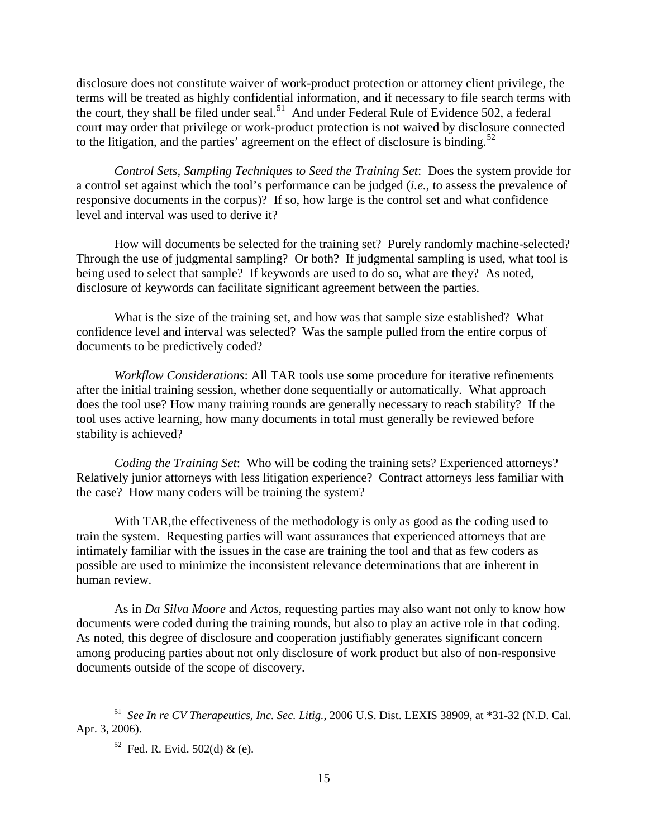disclosure does not constitute waiver of work-product protection or attorney client privilege, the terms will be treated as highly confidential information, and if necessary to file search terms with the court, they shall be filed under seal.<sup>51</sup> And under Federal Rule of Evidence 502, a federal court may order that privilege or work-product protection is not waived by disclosure connected to the litigation, and the parties' agreement on the effect of disclosure is binding.<sup>[52](#page-14-1)</sup>

*Control Sets, Sampling Techniques to Seed the Training Set*: Does the system provide for a control set against which the tool's performance can be judged (*i.e.,* to assess the prevalence of responsive documents in the corpus)? If so, how large is the control set and what confidence level and interval was used to derive it?

How will documents be selected for the training set? Purely randomly machine-selected? Through the use of judgmental sampling? Or both? If judgmental sampling is used, what tool is being used to select that sample? If keywords are used to do so, what are they? As noted, disclosure of keywords can facilitate significant agreement between the parties.

What is the size of the training set, and how was that sample size established? What confidence level and interval was selected? Was the sample pulled from the entire corpus of documents to be predictively coded?

*Workflow Considerations*: All TAR tools use some procedure for iterative refinements after the initial training session, whether done sequentially or automatically. What approach does the tool use? How many training rounds are generally necessary to reach stability? If the tool uses active learning, how many documents in total must generally be reviewed before stability is achieved?

*Coding the Training Set*: Who will be coding the training sets? Experienced attorneys? Relatively junior attorneys with less litigation experience? Contract attorneys less familiar with the case? How many coders will be training the system?

With TAR, the effectiveness of the methodology is only as good as the coding used to train the system. Requesting parties will want assurances that experienced attorneys that are intimately familiar with the issues in the case are training the tool and that as few coders as possible are used to minimize the inconsistent relevance determinations that are inherent in human review.

As in *Da Silva Moore* and *Actos*, requesting parties may also want not only to know how documents were coded during the training rounds, but also to play an active role in that coding. As noted, this degree of disclosure and cooperation justifiably generates significant concern among producing parties about not only disclosure of work product but also of non-responsive documents outside of the scope of discovery.

<span id="page-14-1"></span><span id="page-14-0"></span> <sup>51</sup> *See In re CV Therapeutics, Inc. Sec. Litig.*, 2006 U.S. Dist. LEXIS 38909, at \*31-32 (N.D. Cal. Apr. 3, 2006).

 $52$  Fed. R. Evid. 502(d) & (e).